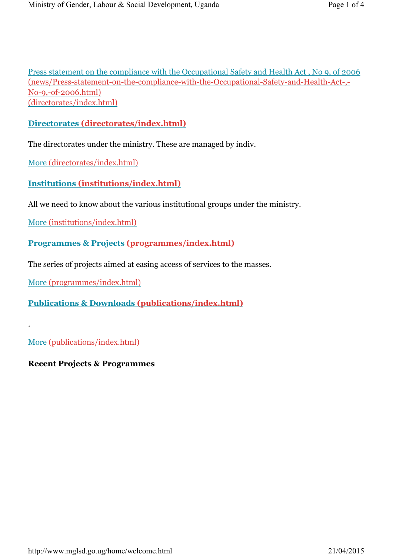Press statement on the compliance with the Occupational Safety and Health Act , No 9, of 2006 (news/Press-statement-on-the-compliance-with-the-Occupational-Safety-and-Health-Act-,- No-9,-of-2006.html) (directorates/index.html)

## **Directorates (directorates/index.html)**

The directorates under the ministry. These are managed by indiv.

More (directorates/index.html)

**Institutions (institutions/index.html)**

All we need to know about the various institutional groups under the ministry.

More (institutions/index.html)

**Programmes & Projects (programmes/index.html)**

The series of projects aimed at easing access of services to the masses.

More (programmes/index.html)

**Publications & Downloads (publications/index.html)**

More (publications/index.html)

.

**Recent Projects & Programmes**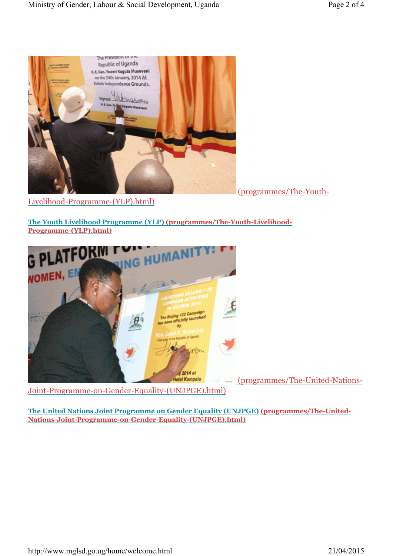

(programmes/The-Youth-

Livelihood-Programme-(YLP).html)

**The Youth Livelihood Programme (YLP) (programmes/The-Youth-Livelihood-Programme-(YLP).html)**



**The United Nations Joint Programme on Gender Equality (UNJPGE) (programmes/The-United-Nations-Joint-Programme-on-Gender-Equality-(UNJPGE).html)**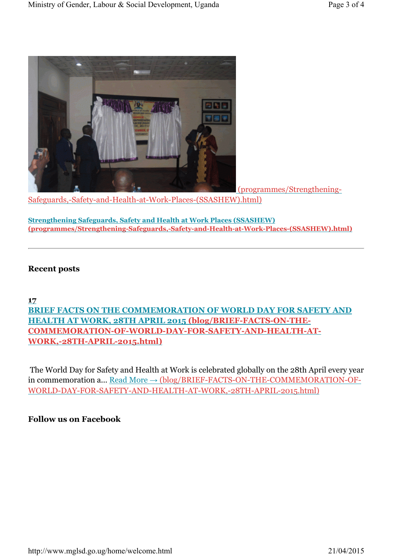![](_page_2_Picture_2.jpeg)

(programmes/Strengthening-

Safeguards,-Safety-and-Health-at-Work-Places-(SSASHEW).html)

**Strengthening Safeguards, Safety and Health at Work Places (SSASHEW) (programmes/Strengthening-Safeguards,-Safety-and-Health-at-Work-Places-(SSASHEW).html)**

## **Recent posts**

### **17**

**BRIEF FACTS ON THE COMMEMORATION OF WORLD DAY FOR SAFETY AND HEALTH AT WORK, 28TH APRIL 2015 (blog/BRIEF-FACTS-ON-THE-COMMEMORATION-OF-WORLD-DAY-FOR-SAFETY-AND-HEALTH-AT-WORK,-28TH-APRIL-2015.html)**

The World Day for Safety and Health at Work is celebrated globally on the 28th April every year in commemoration a... Read More → (blog/BRIEF-FACTS-ON-THE-COMMEMORATION-OF-WORLD-DAY-FOR-SAFETY-AND-HEALTH-AT-WORK,-28TH-APRIL-2015.html)

#### **Follow us on Facebook**